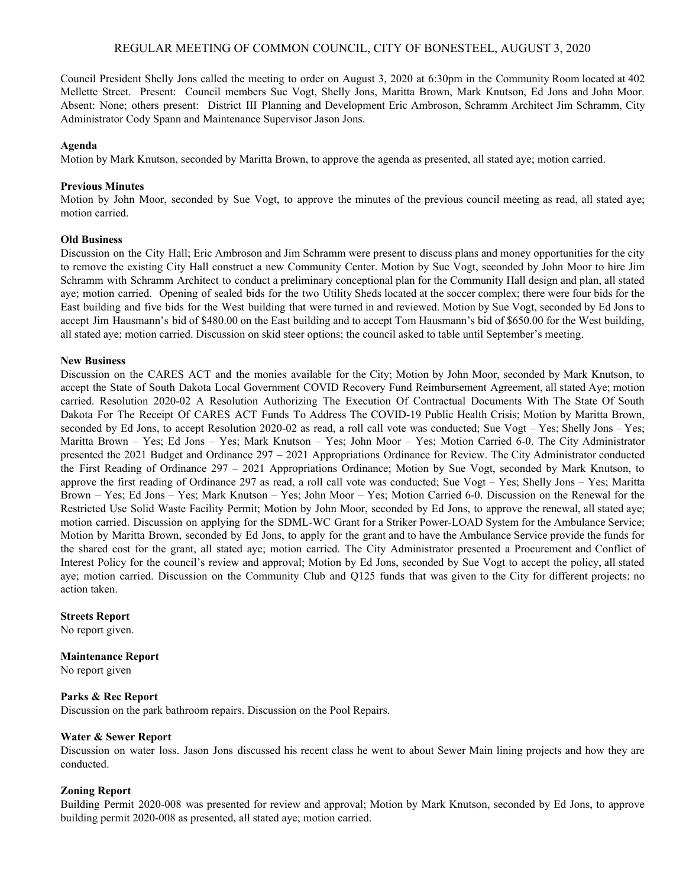# REGULAR MEETING OF COMMON COUNCIL, CITY OF BONESTEEL, AUGUST 3, 2020

Council President Shelly Jons called the meeting to order on August 3, 2020 at 6:30pm in the Community Room located at 402 Mellette Street. Present: Council members Sue Vogt, Shelly Jons, Maritta Brown, Mark Knutson, Ed Jons and John Moor. Absent: None; others present: District III Planning and Development Eric Ambroson, Schramm Architect Jim Schramm, City Administrator Cody Spann and Maintenance Supervisor Jason Jons.

### **Agenda**

Motion by Mark Knutson, seconded by Maritta Brown, to approve the agenda as presented, all stated aye; motion carried.

#### **Previous Minutes**

Motion by John Moor, seconded by Sue Vogt, to approve the minutes of the previous council meeting as read, all stated aye; motion carried.

### **Old Business**

Discussion on the City Hall; Eric Ambroson and Jim Schramm were present to discuss plans and money opportunities for the city to remove the existing City Hall construct a new Community Center. Motion by Sue Vogt, seconded by John Moor to hire Jim Schramm with Schramm Architect to conduct a preliminary conceptional plan for the Community Hall design and plan, all stated aye; motion carried. Opening of sealed bids for the two Utility Sheds located at the soccer complex; there were four bids for the East building and five bids for the West building that were turned in and reviewed. Motion by Sue Vogt, seconded by Ed Jons to accept Jim Hausmann's bid of \$480.00 on the East building and to accept Tom Hausmann's bid of \$650.00 for the West building, all stated aye; motion carried. Discussion on skid steer options; the council asked to table until September's meeting.

### **New Business**

Discussion on the CARES ACT and the monies available for the City; Motion by John Moor, seconded by Mark Knutson, to accept the State of South Dakota Local Government COVID Recovery Fund Reimbursement Agreement, all stated Aye; motion carried. Resolution 2020-02 A Resolution Authorizing The Execution Of Contractual Documents With The State Of South Dakota For The Receipt Of CARES ACT Funds To Address The COVID-19 Public Health Crisis; Motion by Maritta Brown, seconded by Ed Jons, to accept Resolution 2020-02 as read, a roll call vote was conducted; Sue Vogt – Yes; Shelly Jons – Yes; Maritta Brown – Yes; Ed Jons – Yes; Mark Knutson – Yes; John Moor – Yes; Motion Carried 6-0. The City Administrator presented the 2021 Budget and Ordinance 297 – 2021 Appropriations Ordinance for Review. The City Administrator conducted the First Reading of Ordinance 297 – 2021 Appropriations Ordinance; Motion by Sue Vogt, seconded by Mark Knutson, to approve the first reading of Ordinance 297 as read, a roll call vote was conducted; Sue Vogt – Yes; Shelly Jons – Yes; Maritta Brown – Yes; Ed Jons – Yes; Mark Knutson – Yes; John Moor – Yes; Motion Carried 6-0. Discussion on the Renewal for the Restricted Use Solid Waste Facility Permit; Motion by John Moor, seconded by Ed Jons, to approve the renewal, all stated aye; motion carried. Discussion on applying for the SDML-WC Grant for a Striker Power-LOAD System for the Ambulance Service; Motion by Maritta Brown, seconded by Ed Jons, to apply for the grant and to have the Ambulance Service provide the funds for the shared cost for the grant, all stated aye; motion carried. The City Administrator presented a Procurement and Conflict of Interest Policy for the council's review and approval; Motion by Ed Jons, seconded by Sue Vogt to accept the policy, all stated aye; motion carried. Discussion on the Community Club and Q125 funds that was given to the City for different projects; no action taken.

#### **Streets Report**

No report given.

#### **Maintenance Report**

No report given

#### **Parks & Rec Report**

Discussion on the park bathroom repairs. Discussion on the Pool Repairs.

#### **Water & Sewer Report**

Discussion on water loss. Jason Jons discussed his recent class he went to about Sewer Main lining projects and how they are conducted.

#### **Zoning Report**

Building Permit 2020-008 was presented for review and approval; Motion by Mark Knutson, seconded by Ed Jons, to approve building permit 2020-008 as presented, all stated aye; motion carried.